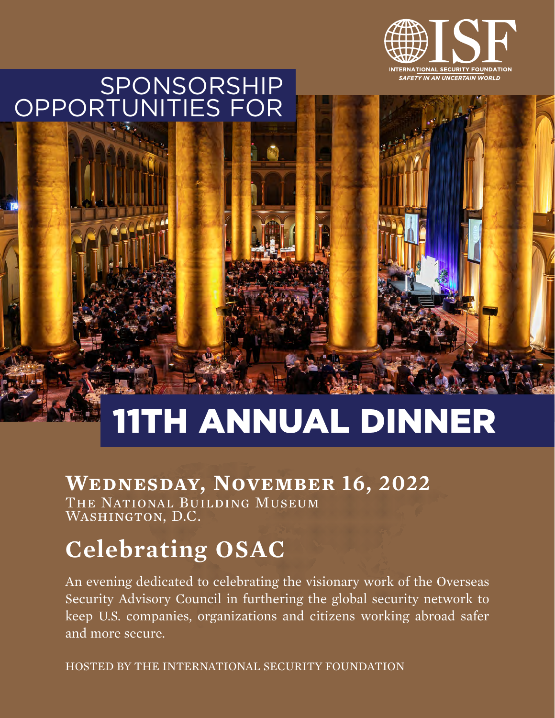

## SPONSORSHIP OPPORTUNITIES FOR

# 11TH ANNUAL DINNER

## **Wednesday, November 16, 2022**

The National Building Museum WASHINGTON, D.C.

## **Celebrating OSAC**

An evening dedicated to celebrating the visionary work of the Overseas Security Advisory Council in furthering the global security network to keep U.S. companies, organizations and citizens working abroad safer and more secure.

HOSTED BY THE INTERNATIONAL SECURITY FOUNDATION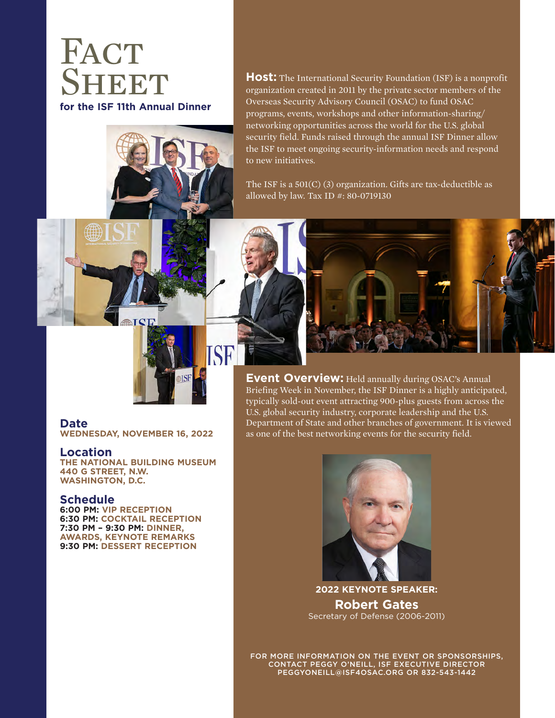## **FACT SHEET for the ISF 11th Annual Dinner**



**Host:** The International Security Foundation (ISF) is a nonprofit organization created in 2011 by the private sector members of the Overseas Security Advisory Council (OSAC) to fund OSAC programs, events, workshops and other information-sharing/ networking opportunities across the world for the U.S. global security field. Funds raised through the annual ISF Dinner allow the ISF to meet ongoing security-information needs and respond to new initiatives.

The ISF is a 501(C) (3) organization. Gifts are tax-deductible as allowed by law. Tax ID #: 80-0719130



**Event Overview: Held annually during OSAC's Annual** Briefing Week in November, the ISF Dinner is a highly anticipated, typically sold-out event attracting 900-plus guests from across the U.S. global security industry, corporate leadership and the U.S. Department of State and other branches of government. It is viewed as one of the best networking events for the security field.

## **Date**

**WEDNESDAY, NOVEMBER 16, 2022**

ħT

### **Location**

**THE NATIONAL BUILDING MUSEUM 440 G STREET, N.W. WASHINGTON, D.C.** 

### **Schedule**

**6:00 PM: VIP RECEPTION 6:30 PM: COCKTAIL RECEPTION 7:30 PM – 9:30 PM: DINNER, AWARDS, KEYNOTE REMARKS 9:30 PM: DESSERT RECEPTION**



**2022 KEYNOTE SPEAKER: Robert Gates** Secretary of Defense (2006-2011)

FOR MORE INFORMATION ON THE EVENT OR SPONSORSHIPS, CONTACT PEGGY O'NEILL, ISF EXECUTIVE DIRECTOR PEGGYONEILL@ISF4OSAC.ORG OR 832-543-1442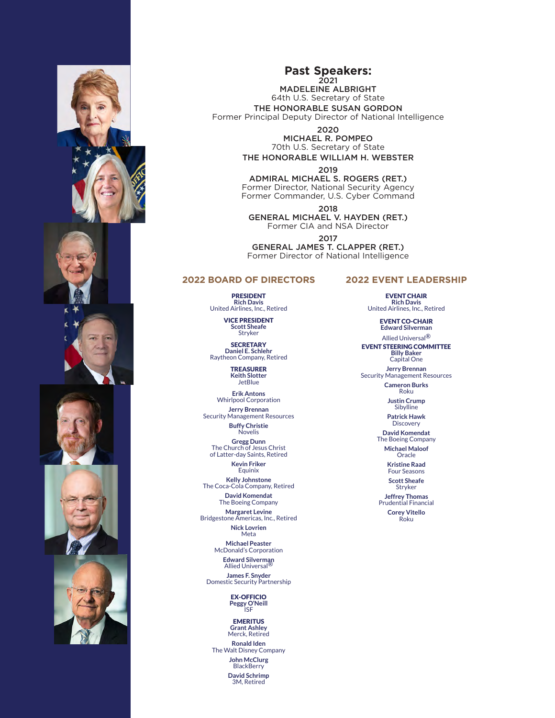











**Past Speakers:** 2021

MADELEINE ALBRIGHT 64th U.S. Secretary of State THE HONORABLE SUSAN GORDON Former Principal Deputy Director of National Intelligence

2020

MICHAEL R. POMPEO 70th U.S. Secretary of State THE HONORABLE WILLIAM H. WEBSTER

2019

ADMIRAL MICHAEL S. ROGERS (RET.) Former Director, National Security Agency Former Commander, U.S. Cyber Command

2018

GENERAL MICHAEL V. HAYDEN (RET.) Former CIA and NSA Director

2017

GENERAL JAMES T. CLAPPER (RET.) Former Director of National Intelligence

#### **2022 BOARD OF DIRECTORS**

PRESIDENT **Rich Davis** United Airlines, Inc., Retired

VICE PRESIDENT

**Scott Sheafe** Stryker

**SECRETARY Daniel E. Schlehr** Raytheon Company, Retired

> TREASURER **Keith Slotter** JetBlue

**Erik Antons** Whirlpool Corporation

**Jerry Brennan** Security Management Resources

> **Buffy Christie** Novelis

**Gregg Dunn<br>The Church of Jesus Christ** of Latter-day Saints, Retired

**Kevin Friker Equinix** 

**Kelly Johnstone** The Coca-Cola Company, Retired **David Komendat**

The Boeing Company

**Margaret Levine** Bridgestone Americas, Inc., Retired **Nick Lovrien** Meta

**Michael Peaster**

McDonald's Corporation **Edward Silverman Allied Universal** 

**James F. Snyder** Domestic Security Partnership

EX-OFFICIO **Peggy O'Neill** ISF

EMERITUS **Grant Ashley**  Merck, Retired

**Ronald Iden** The Walt Disney Company **John McClurg BlackBerry David Schrimp** 3M, Retired

**2022 EVENT LEADERSHIP**

EVENT CHAIR **Rich Davis**  United Airlines, Inc., Retired

> EVENT CO-CHAIR **Edward Silverman**

Allied Universal® EVENT STEERING COMMITTEE **Billy Baker**  Capital One **Jerry Brennan** 

Security Management Resources

**Cameron Burks**  Roku

**Justin Crump Sibylline** 

**Patrick Hawk Discovery** 

**David Komendat**  The Boeing Company

**Michael Maloof Oracle** 

**Kristine Raad**  Four Seasons

**Scott Sheafe**  Stryker

**Jeffrey Thomas**  Prudential Financial **Corey Vitello** 

Roku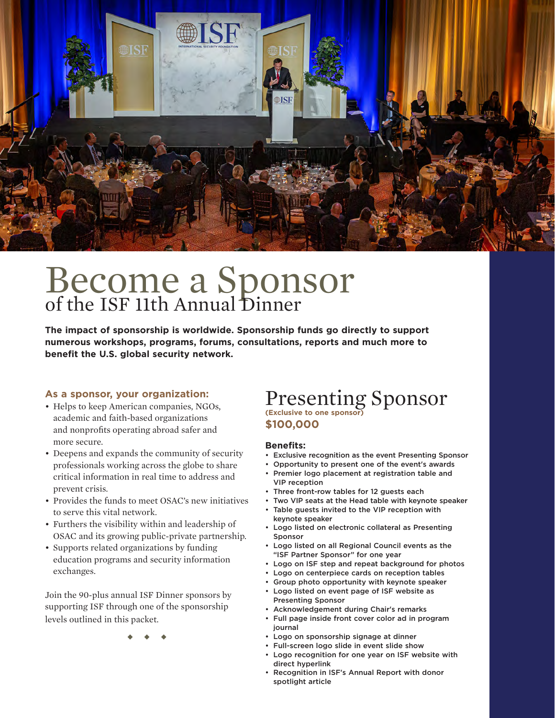

## Become a Sponsor of the ISF 11th Annual Dinner

**The impact of sponsorship is worldwide. Sponsorship funds go directly to support numerous workshops, programs, forums, consultations, reports and much more to benefit the U.S. global security network.**

#### **As a sponsor, your organization:**

- Helps to keep American companies, NGOs, academic and faith-based organizations and nonprofits operating abroad safer and more secure.
- Deepens and expands the community of security professionals working across the globe to share critical information in real time to address and prevent crisis.
- Provides the funds to meet OSAC's new initiatives to serve this vital network.
- Furthers the visibility within and leadership of OSAC and its growing public-private partnership.
- Supports related organizations by funding education programs and security information exchanges.

Join the 90-plus annual ISF Dinner sponsors by supporting ISF through one of the sponsorship levels outlined in this packet.

◆ ◆ ◆

## Presenting Sponsor **(Exclusive to one sponsor) \$100,000**

#### **Benefits:**

- Exclusive recognition as the event Presenting Sponsor
- Opportunity to present one of the event's awards
- Premier logo placement at registration table and
- VIP reception
- Three front-row tables for 12 guests each
- Two VIP seats at the Head table with keynote speaker
- Table guests invited to the VIP reception with keynote speaker
- Logo listed on electronic collateral as Presenting Sponsor
- Logo listed on all Regional Council events as the "ISF Partner Sponsor" for one year
	- Logo on ISF step and repeat background for photos
- Logo on centerpiece cards on reception tables
- Group photo opportunity with keynote speaker
- Logo listed on event page of ISF website as Presenting Sponsor
- Acknowledgement during Chair's remarks
- Full page inside front cover color ad in program journal
- Logo on sponsorship signage at dinner
- Full-screen logo slide in event slide show
- Logo recognition for one year on ISF website with direct hyperlink
- Recognition in ISF's Annual Report with donor spotlight article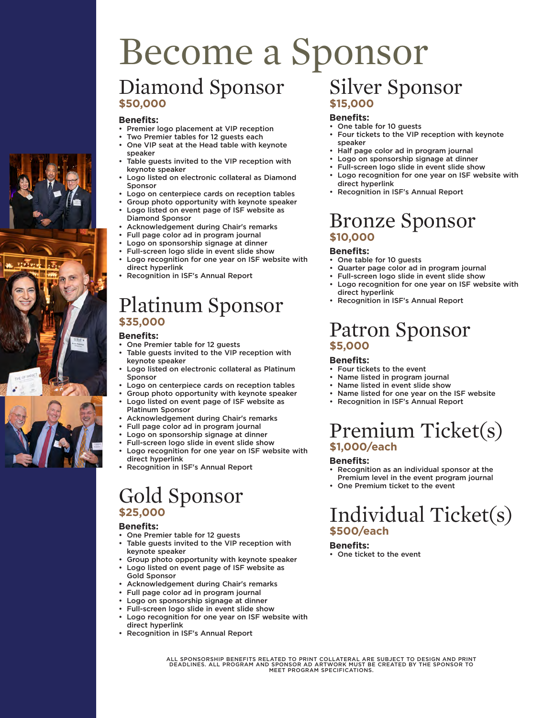## Become a Sponsor Diamond Sponsor **\$50,000** Silver Sponsor

### **Benefits:**

- Premier logo placement at VIP reception
- Two Premier tables for 12 quests each
- One VIP seat at the Head table with keynote speaker
- Table guests invited to the VIP reception with keynote speaker
- Logo listed on electronic collateral as Diamond Sponsor
- Logo on centerpiece cards on reception tables
- Group photo opportunity with keynote speaker
- Logo listed on event page of ISF website as Diamond Sponsor
- Acknowledgement during Chair's remarks
- Full page color ad in program journal
- Logo on sponsorship signage at dinner
- Full-screen logo slide in event slide show
- Logo recognition for one year on ISF website with direct hyperlink
- Recognition in ISF's Annual Report

## Platinum Sponsor **\$35,000**

#### **Benefits:**

- One Premier table for 12 guests
- Table guests invited to the VIP reception with keynote speaker
- Logo listed on electronic collateral as Platinum Sponsor
- Logo on centerpiece cards on reception tables
- Group photo opportunity with keynote speaker
- Logo listed on event page of ISF website as Platinum Sponsor
- Acknowledgement during Chair's remarks
- Full page color ad in program journal
- Logo on sponsorship signage at dinner
- Full-screen logo slide in event slide show
- Logo recognition for one year on ISF website with direct hyperlink
- Recognition in ISF's Annual Report

## Gold Sponsor **\$25,000**

#### **Benefits:**

- One Premier table for 12 guests
- Table guests invited to the VIP reception with keynote speaker
- Group photo opportunity with keynote speaker
- Logo listed on event page of ISF website as Gold Sponsor
- Acknowledgement during Chair's remarks
- Full page color ad in program journal
- Logo on sponsorship signage at dinner
- Full-screen logo slide in event slide show
- Logo recognition for one year on ISF website with direct hyperlink
- Recognition in ISF's Annual Report

## **\$15,000**

#### **Benefits:**

- One table for 10 guests
	- Four tickets to the VIP reception with keynote speaker
	- Half page color ad in program journal
	- Logo on sponsorship signage at dinner
	- Full-screen logo slide in event slide show
- Logo recognition for one year on ISF website with direct hyperlink
- Recognition in ISF's Annual Report

### Bronze Sponsor **\$10,000**

#### **Benefits:**

- One table for 10 guests
- Quarter page color ad in program journal
- Full-screen logo slide in event slide show
- Logo recognition for one year on ISF website with direct hyperlink
- Recognition in ISF's Annual Report

## Patron Sponsor **\$5,000**

### **Benefits:**

- Four tickets to the event
- Name listed in program journal
- Name listed in event slide show
- Name listed for one year on the ISF website
- Recognition in ISF's Annual Report

## Premium Ticket(s) **\$1,000/each**

#### **Benefits:**

- Recognition as an individual sponsor at the Premium level in the event program journal
- One Premium ticket to the event

## Individual Ticket(s) **\$500/each**

#### **Benefits:**

• One ticket to the event

ALL SPONSORSHIP BENEFITS RELATED TO PRINT COLLATERAL ARE SUBJECT TO DESIGN AND PRINT<br>DEADLINES. ALL PROGRAM AND SPONSOR AD ARTWORK MUST BE CREATED BY THE SPONSOR TO<br>MEET PROGRAM SPECIFICATIONS.